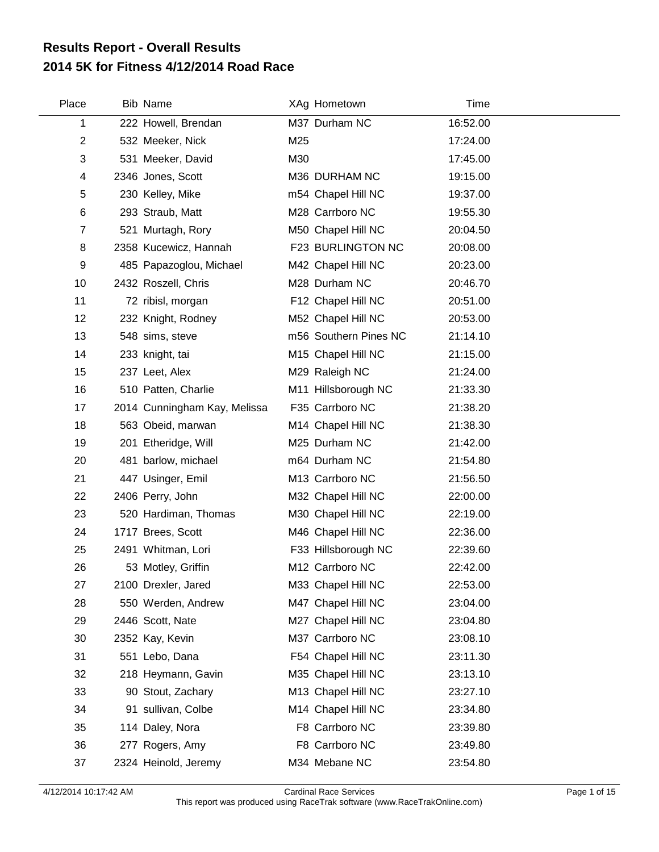## **2014 5K for Fitness 4/12/2014 Road Race Results Report - Overall Results**

 $\overline{\phantom{a}}$ 

| Place          | Bib Name                     |     | XAg Hometown          | <b>Time</b> |  |
|----------------|------------------------------|-----|-----------------------|-------------|--|
| 1              | 222 Howell, Brendan          |     | M37 Durham NC         | 16:52.00    |  |
| $\overline{2}$ | 532 Meeker, Nick             | M25 |                       | 17:24.00    |  |
| 3              | 531 Meeker, David            | M30 |                       | 17:45.00    |  |
| 4              | 2346 Jones, Scott            |     | M36 DURHAM NC         | 19:15.00    |  |
| 5              | 230 Kelley, Mike             |     | m54 Chapel Hill NC    | 19:37.00    |  |
| 6              | 293 Straub, Matt             |     | M28 Carrboro NC       | 19:55.30    |  |
| $\overline{7}$ | 521 Murtagh, Rory            |     | M50 Chapel Hill NC    | 20:04.50    |  |
| 8              | 2358 Kucewicz, Hannah        |     | F23 BURLINGTON NC     | 20:08.00    |  |
| 9              | 485 Papazoglou, Michael      |     | M42 Chapel Hill NC    | 20:23.00    |  |
| 10             | 2432 Roszell, Chris          |     | M28 Durham NC         | 20:46.70    |  |
| 11             | 72 ribisl, morgan            |     | F12 Chapel Hill NC    | 20:51.00    |  |
| 12             | 232 Knight, Rodney           |     | M52 Chapel Hill NC    | 20:53.00    |  |
| 13             | 548 sims, steve              |     | m56 Southern Pines NC | 21:14.10    |  |
| 14             | 233 knight, tai              |     | M15 Chapel Hill NC    | 21:15.00    |  |
| 15             | 237 Leet, Alex               |     | M29 Raleigh NC        | 21:24.00    |  |
| 16             | 510 Patten, Charlie          |     | M11 Hillsborough NC   | 21:33.30    |  |
| 17             | 2014 Cunningham Kay, Melissa |     | F35 Carrboro NC       | 21:38.20    |  |
| 18             | 563 Obeid, marwan            |     | M14 Chapel Hill NC    | 21:38.30    |  |
| 19             | 201 Etheridge, Will          |     | M25 Durham NC         | 21:42.00    |  |
| 20             | 481 barlow, michael          |     | m64 Durham NC         | 21:54.80    |  |
| 21             | 447 Usinger, Emil            |     | M13 Carrboro NC       | 21:56.50    |  |
| 22             | 2406 Perry, John             |     | M32 Chapel Hill NC    | 22:00.00    |  |
| 23             | 520 Hardiman, Thomas         |     | M30 Chapel Hill NC    | 22:19.00    |  |
| 24             | 1717 Brees, Scott            |     | M46 Chapel Hill NC    | 22:36.00    |  |
| 25             | 2491 Whitman, Lori           |     | F33 Hillsborough NC   | 22:39.60    |  |
| 26             | 53 Motley, Griffin           |     | M12 Carrboro NC       | 22:42.00    |  |
| 27             | 2100 Drexler, Jared          |     | M33 Chapel Hill NC    | 22:53.00    |  |
| 28             | 550 Werden, Andrew           |     | M47 Chapel Hill NC    | 23:04.00    |  |
| 29             | 2446 Scott, Nate             |     | M27 Chapel Hill NC    | 23:04.80    |  |
| 30             | 2352 Kay, Kevin              |     | M37 Carrboro NC       | 23:08.10    |  |
| 31             | 551 Lebo, Dana               |     | F54 Chapel Hill NC    | 23:11.30    |  |
| 32             | 218 Heymann, Gavin           |     | M35 Chapel Hill NC    | 23:13.10    |  |
| 33             | 90 Stout, Zachary            |     | M13 Chapel Hill NC    | 23:27.10    |  |
| 34             | 91 sullivan, Colbe           |     | M14 Chapel Hill NC    | 23:34.80    |  |
| 35             | 114 Daley, Nora              |     | F8 Carrboro NC        | 23:39.80    |  |
| 36             | 277 Rogers, Amy              |     | F8 Carrboro NC        | 23:49.80    |  |
| 37             | 2324 Heinold, Jeremy         |     | M34 Mebane NC         | 23:54.80    |  |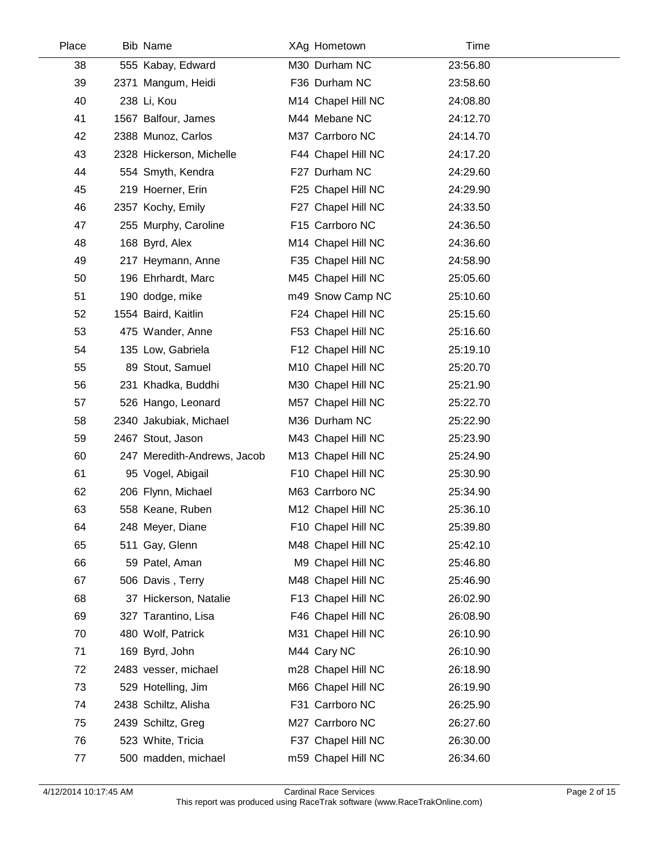| 38<br>39 | 555 Kabay, Edward           | M30 Durham NC      | 23:56.80 |  |
|----------|-----------------------------|--------------------|----------|--|
|          |                             |                    |          |  |
|          | 2371 Mangum, Heidi          | F36 Durham NC      | 23:58.60 |  |
| 40       | 238 Li, Kou                 | M14 Chapel Hill NC | 24:08.80 |  |
| 41       | 1567 Balfour, James         | M44 Mebane NC      | 24:12.70 |  |
| 42       | 2388 Munoz, Carlos          | M37 Carrboro NC    | 24:14.70 |  |
| 43       | 2328 Hickerson, Michelle    | F44 Chapel Hill NC | 24:17.20 |  |
| 44       | 554 Smyth, Kendra           | F27 Durham NC      | 24:29.60 |  |
| 45       | 219 Hoerner, Erin           | F25 Chapel Hill NC | 24:29.90 |  |
| 46       | 2357 Kochy, Emily           | F27 Chapel Hill NC | 24:33.50 |  |
| 47       | 255 Murphy, Caroline        | F15 Carrboro NC    | 24:36.50 |  |
| 48       | 168 Byrd, Alex              | M14 Chapel Hill NC | 24:36.60 |  |
| 49       | 217 Heymann, Anne           | F35 Chapel Hill NC | 24:58.90 |  |
| 50       | 196 Ehrhardt, Marc          | M45 Chapel Hill NC | 25:05.60 |  |
| 51       | 190 dodge, mike             | m49 Snow Camp NC   | 25:10.60 |  |
| 52       | 1554 Baird, Kaitlin         | F24 Chapel Hill NC | 25:15.60 |  |
| 53       | 475 Wander, Anne            | F53 Chapel Hill NC | 25:16.60 |  |
| 54       | 135 Low, Gabriela           | F12 Chapel Hill NC | 25:19.10 |  |
| 55       | 89 Stout, Samuel            | M10 Chapel Hill NC | 25:20.70 |  |
| 56       | 231 Khadka, Buddhi          | M30 Chapel Hill NC | 25:21.90 |  |
| 57       | 526 Hango, Leonard          | M57 Chapel Hill NC | 25:22.70 |  |
| 58       | 2340 Jakubiak, Michael      | M36 Durham NC      | 25:22.90 |  |
| 59       | 2467 Stout, Jason           | M43 Chapel Hill NC | 25:23.90 |  |
| 60       | 247 Meredith-Andrews, Jacob | M13 Chapel Hill NC | 25:24.90 |  |
| 61       | 95 Vogel, Abigail           | F10 Chapel Hill NC | 25:30.90 |  |
| 62       | 206 Flynn, Michael          | M63 Carrboro NC    | 25:34.90 |  |
| 63       | 558 Keane, Ruben            | M12 Chapel Hill NC | 25:36.10 |  |
| 64       | 248 Meyer, Diane            | F10 Chapel Hill NC | 25:39.80 |  |
| 65       | 511 Gay, Glenn              | M48 Chapel Hill NC | 25:42.10 |  |
| 66       | 59 Patel, Aman              | M9 Chapel Hill NC  | 25:46.80 |  |
| 67       | 506 Davis, Terry            | M48 Chapel Hill NC | 25:46.90 |  |
| 68       | 37 Hickerson, Natalie       | F13 Chapel Hill NC | 26:02.90 |  |
| 69       | 327 Tarantino, Lisa         | F46 Chapel Hill NC | 26:08.90 |  |
| 70       | 480 Wolf, Patrick           | M31 Chapel Hill NC | 26:10.90 |  |
| 71       | 169 Byrd, John              | M44 Cary NC        | 26:10.90 |  |
| 72       | 2483 vesser, michael        | m28 Chapel Hill NC | 26:18.90 |  |
| 73       | 529 Hotelling, Jim          | M66 Chapel Hill NC | 26:19.90 |  |
| 74       | 2438 Schiltz, Alisha        | F31 Carrboro NC    | 26:25.90 |  |
| 75       | 2439 Schiltz, Greg          | M27 Carrboro NC    | 26:27.60 |  |
| 76       | 523 White, Tricia           | F37 Chapel Hill NC | 26:30.00 |  |
| 77       | 500 madden, michael         | m59 Chapel Hill NC | 26:34.60 |  |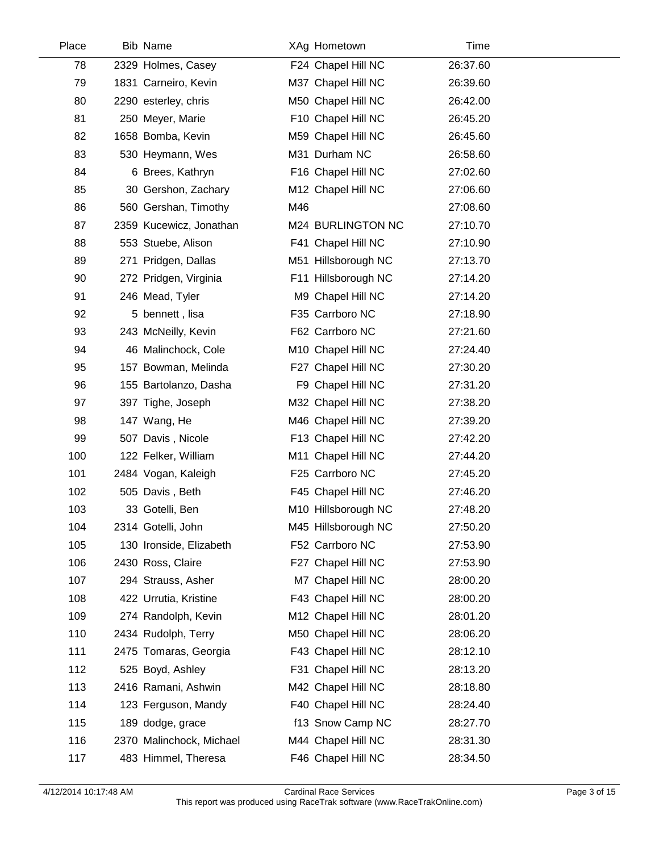| Place | <b>Bib Name</b>          |     | XAg Hometown        | Time     |  |
|-------|--------------------------|-----|---------------------|----------|--|
| 78    | 2329 Holmes, Casey       |     | F24 Chapel Hill NC  | 26:37.60 |  |
| 79    | 1831 Carneiro, Kevin     |     | M37 Chapel Hill NC  | 26:39.60 |  |
| 80    | 2290 esterley, chris     |     | M50 Chapel Hill NC  | 26:42.00 |  |
| 81    | 250 Meyer, Marie         |     | F10 Chapel Hill NC  | 26:45.20 |  |
| 82    | 1658 Bomba, Kevin        |     | M59 Chapel Hill NC  | 26:45.60 |  |
| 83    | 530 Heymann, Wes         |     | M31 Durham NC       | 26:58.60 |  |
| 84    | 6 Brees, Kathryn         |     | F16 Chapel Hill NC  | 27:02.60 |  |
| 85    | 30 Gershon, Zachary      |     | M12 Chapel Hill NC  | 27:06.60 |  |
| 86    | 560 Gershan, Timothy     | M46 |                     | 27:08.60 |  |
| 87    | 2359 Kucewicz, Jonathan  |     | M24 BURLINGTON NC   | 27:10.70 |  |
| 88    | 553 Stuebe, Alison       |     | F41 Chapel Hill NC  | 27:10.90 |  |
| 89    | 271 Pridgen, Dallas      |     | M51 Hillsborough NC | 27:13.70 |  |
| 90    | 272 Pridgen, Virginia    |     | F11 Hillsborough NC | 27:14.20 |  |
| 91    | 246 Mead, Tyler          |     | M9 Chapel Hill NC   | 27:14.20 |  |
| 92    | 5 bennett, lisa          |     | F35 Carrboro NC     | 27:18.90 |  |
| 93    | 243 McNeilly, Kevin      |     | F62 Carrboro NC     | 27:21.60 |  |
| 94    | 46 Malinchock, Cole      |     | M10 Chapel Hill NC  | 27:24.40 |  |
| 95    | 157 Bowman, Melinda      |     | F27 Chapel Hill NC  | 27:30.20 |  |
| 96    | 155 Bartolanzo, Dasha    |     | F9 Chapel Hill NC   | 27:31.20 |  |
| 97    | 397 Tighe, Joseph        |     | M32 Chapel Hill NC  | 27:38.20 |  |
| 98    | 147 Wang, He             |     | M46 Chapel Hill NC  | 27:39.20 |  |
| 99    | 507 Davis, Nicole        |     | F13 Chapel Hill NC  | 27:42.20 |  |
| 100   | 122 Felker, William      |     | M11 Chapel Hill NC  | 27:44.20 |  |
| 101   | 2484 Vogan, Kaleigh      |     | F25 Carrboro NC     | 27:45.20 |  |
| 102   | 505 Davis, Beth          |     | F45 Chapel Hill NC  | 27:46.20 |  |
| 103   | 33 Gotelli, Ben          |     | M10 Hillsborough NC | 27:48.20 |  |
| 104   | 2314 Gotelli, John       |     | M45 Hillsborough NC | 27:50.20 |  |
| 105   | 130 Ironside, Elizabeth  |     | F52 Carrboro NC     | 27:53.90 |  |
| 106   | 2430 Ross, Claire        |     | F27 Chapel Hill NC  | 27:53.90 |  |
| 107   | 294 Strauss, Asher       |     | M7 Chapel Hill NC   | 28:00.20 |  |
| 108   | 422 Urrutia, Kristine    |     | F43 Chapel Hill NC  | 28:00.20 |  |
| 109   | 274 Randolph, Kevin      |     | M12 Chapel Hill NC  | 28:01.20 |  |
| 110   | 2434 Rudolph, Terry      |     | M50 Chapel Hill NC  | 28:06.20 |  |
| 111   | 2475 Tomaras, Georgia    |     | F43 Chapel Hill NC  | 28:12.10 |  |
| 112   | 525 Boyd, Ashley         |     | F31 Chapel Hill NC  | 28:13.20 |  |
| 113   | 2416 Ramani, Ashwin      |     | M42 Chapel Hill NC  | 28:18.80 |  |
| 114   | 123 Ferguson, Mandy      |     | F40 Chapel Hill NC  | 28:24.40 |  |
| 115   | 189 dodge, grace         |     | f13 Snow Camp NC    | 28:27.70 |  |
| 116   | 2370 Malinchock, Michael |     | M44 Chapel Hill NC  | 28:31.30 |  |
| 117   | 483 Himmel, Theresa      |     | F46 Chapel Hill NC  | 28:34.50 |  |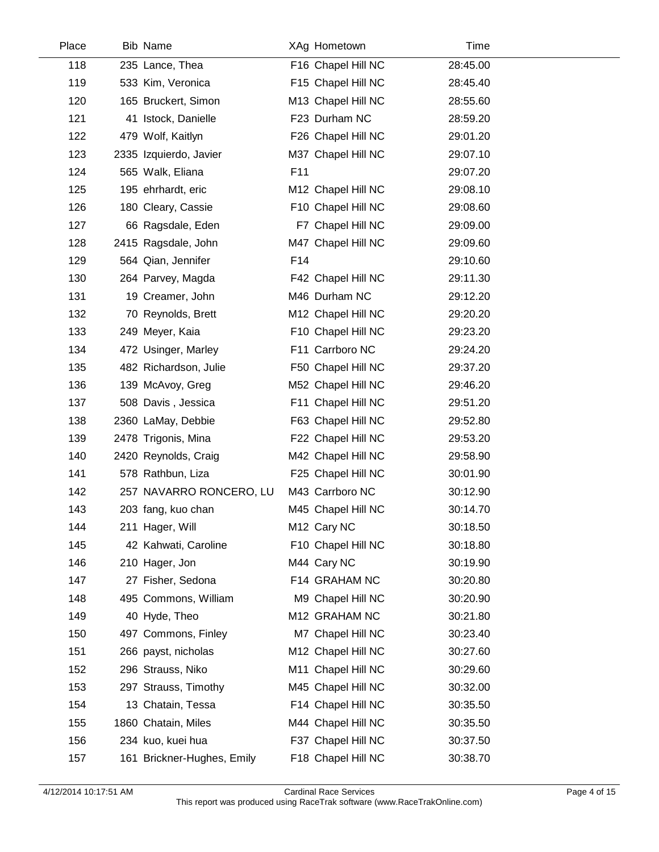| Place | Bib Name                   |     | XAg Hometown       | Time     |  |
|-------|----------------------------|-----|--------------------|----------|--|
| 118   | 235 Lance, Thea            |     | F16 Chapel Hill NC | 28:45.00 |  |
| 119   | 533 Kim, Veronica          |     | F15 Chapel Hill NC | 28:45.40 |  |
| 120   | 165 Bruckert, Simon        |     | M13 Chapel Hill NC | 28:55.60 |  |
| 121   | 41 Istock, Danielle        |     | F23 Durham NC      | 28:59.20 |  |
| 122   | 479 Wolf, Kaitlyn          |     | F26 Chapel Hill NC | 29:01.20 |  |
| 123   | 2335 Izquierdo, Javier     |     | M37 Chapel Hill NC | 29:07.10 |  |
| 124   | 565 Walk, Eliana           | F11 |                    | 29:07.20 |  |
| 125   | 195 ehrhardt, eric         |     | M12 Chapel Hill NC | 29:08.10 |  |
| 126   | 180 Cleary, Cassie         |     | F10 Chapel Hill NC | 29:08.60 |  |
| 127   | 66 Ragsdale, Eden          |     | F7 Chapel Hill NC  | 29:09.00 |  |
| 128   | 2415 Ragsdale, John        |     | M47 Chapel Hill NC | 29:09.60 |  |
| 129   | 564 Qian, Jennifer         | F14 |                    | 29:10.60 |  |
| 130   | 264 Parvey, Magda          |     | F42 Chapel Hill NC | 29:11.30 |  |
| 131   | 19 Creamer, John           |     | M46 Durham NC      | 29:12.20 |  |
| 132   | 70 Reynolds, Brett         |     | M12 Chapel Hill NC | 29:20.20 |  |
| 133   | 249 Meyer, Kaia            |     | F10 Chapel Hill NC | 29:23.20 |  |
| 134   | 472 Usinger, Marley        |     | F11 Carrboro NC    | 29:24.20 |  |
| 135   | 482 Richardson, Julie      |     | F50 Chapel Hill NC | 29:37.20 |  |
| 136   | 139 McAvoy, Greg           |     | M52 Chapel Hill NC | 29:46.20 |  |
| 137   | 508 Davis, Jessica         |     | F11 Chapel Hill NC | 29:51.20 |  |
| 138   | 2360 LaMay, Debbie         |     | F63 Chapel Hill NC | 29:52.80 |  |
| 139   | 2478 Trigonis, Mina        |     | F22 Chapel Hill NC | 29:53.20 |  |
| 140   | 2420 Reynolds, Craig       |     | M42 Chapel Hill NC | 29:58.90 |  |
| 141   | 578 Rathbun, Liza          |     | F25 Chapel Hill NC | 30:01.90 |  |
| 142   | 257 NAVARRO RONCERO, LU    |     | M43 Carrboro NC    | 30:12.90 |  |
| 143   | 203 fang, kuo chan         |     | M45 Chapel Hill NC | 30:14.70 |  |
| 144   | 211 Hager, Will            |     | M12 Cary NC        | 30:18.50 |  |
| 145   | 42 Kahwati, Caroline       |     | F10 Chapel Hill NC | 30:18.80 |  |
| 146   | 210 Hager, Jon             |     | M44 Cary NC        | 30:19.90 |  |
| 147   | 27 Fisher, Sedona          |     | F14 GRAHAM NC      | 30:20.80 |  |
| 148   | 495 Commons, William       |     | M9 Chapel Hill NC  | 30:20.90 |  |
| 149   | 40 Hyde, Theo              |     | M12 GRAHAM NC      | 30:21.80 |  |
| 150   | 497 Commons, Finley        |     | M7 Chapel Hill NC  | 30:23.40 |  |
| 151   | 266 payst, nicholas        |     | M12 Chapel Hill NC | 30:27.60 |  |
| 152   | 296 Strauss, Niko          |     | M11 Chapel Hill NC | 30:29.60 |  |
| 153   | 297 Strauss, Timothy       |     | M45 Chapel Hill NC | 30:32.00 |  |
| 154   | 13 Chatain, Tessa          |     | F14 Chapel Hill NC | 30:35.50 |  |
| 155   | 1860 Chatain, Miles        |     | M44 Chapel Hill NC | 30:35.50 |  |
| 156   | 234 kuo, kuei hua          |     | F37 Chapel Hill NC | 30:37.50 |  |
| 157   | 161 Brickner-Hughes, Emily |     | F18 Chapel Hill NC | 30:38.70 |  |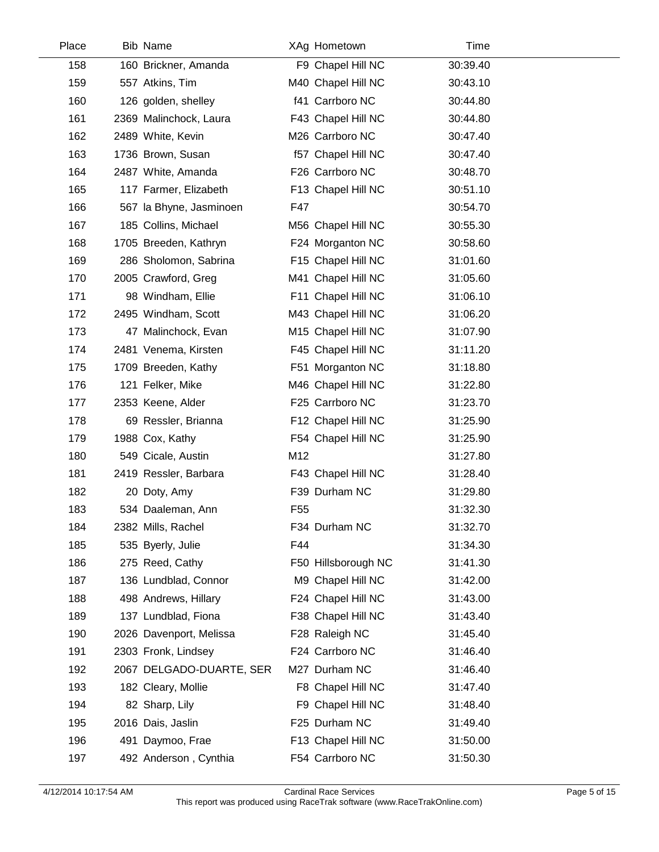| Place | <b>Bib Name</b>          |                 | XAg Hometown        | Time     |  |
|-------|--------------------------|-----------------|---------------------|----------|--|
| 158   | 160 Brickner, Amanda     |                 | F9 Chapel Hill NC   | 30:39.40 |  |
| 159   | 557 Atkins, Tim          |                 | M40 Chapel Hill NC  | 30:43.10 |  |
| 160   | 126 golden, shelley      |                 | f41 Carrboro NC     | 30:44.80 |  |
| 161   | 2369 Malinchock, Laura   |                 | F43 Chapel Hill NC  | 30:44.80 |  |
| 162   | 2489 White, Kevin        |                 | M26 Carrboro NC     | 30:47.40 |  |
| 163   | 1736 Brown, Susan        |                 | f57 Chapel Hill NC  | 30:47.40 |  |
| 164   | 2487 White, Amanda       |                 | F26 Carrboro NC     | 30:48.70 |  |
| 165   | 117 Farmer, Elizabeth    |                 | F13 Chapel Hill NC  | 30:51.10 |  |
| 166   | 567 la Bhyne, Jasminoen  | F47             |                     | 30:54.70 |  |
| 167   | 185 Collins, Michael     |                 | M56 Chapel Hill NC  | 30:55.30 |  |
| 168   | 1705 Breeden, Kathryn    |                 | F24 Morganton NC    | 30:58.60 |  |
| 169   | 286 Sholomon, Sabrina    |                 | F15 Chapel Hill NC  | 31:01.60 |  |
| 170   | 2005 Crawford, Greg      |                 | M41 Chapel Hill NC  | 31:05.60 |  |
| 171   | 98 Windham, Ellie        |                 | F11 Chapel Hill NC  | 31:06.10 |  |
| 172   | 2495 Windham, Scott      |                 | M43 Chapel Hill NC  | 31:06.20 |  |
| 173   | 47 Malinchock, Evan      |                 | M15 Chapel Hill NC  | 31:07.90 |  |
| 174   | 2481 Venema, Kirsten     |                 | F45 Chapel Hill NC  | 31:11.20 |  |
| 175   | 1709 Breeden, Kathy      |                 | F51 Morganton NC    | 31:18.80 |  |
| 176   | 121 Felker, Mike         |                 | M46 Chapel Hill NC  | 31:22.80 |  |
| 177   | 2353 Keene, Alder        |                 | F25 Carrboro NC     | 31:23.70 |  |
| 178   | 69 Ressler, Brianna      |                 | F12 Chapel Hill NC  | 31:25.90 |  |
| 179   | 1988 Cox, Kathy          |                 | F54 Chapel Hill NC  | 31:25.90 |  |
| 180   | 549 Cicale, Austin       | M12             |                     | 31:27.80 |  |
| 181   | 2419 Ressler, Barbara    |                 | F43 Chapel Hill NC  | 31:28.40 |  |
| 182   | 20 Doty, Amy             |                 | F39 Durham NC       | 31:29.80 |  |
| 183   | 534 Daaleman, Ann        | F <sub>55</sub> |                     | 31:32.30 |  |
| 184   | 2382 Mills, Rachel       |                 | F34 Durham NC       | 31:32.70 |  |
| 185   | 535 Byerly, Julie        | F44             |                     | 31:34.30 |  |
| 186   | 275 Reed, Cathy          |                 | F50 Hillsborough NC | 31:41.30 |  |
| 187   | 136 Lundblad, Connor     |                 | M9 Chapel Hill NC   | 31:42.00 |  |
| 188   | 498 Andrews, Hillary     |                 | F24 Chapel Hill NC  | 31:43.00 |  |
| 189   | 137 Lundblad, Fiona      |                 | F38 Chapel Hill NC  | 31:43.40 |  |
| 190   | 2026 Davenport, Melissa  |                 | F28 Raleigh NC      | 31:45.40 |  |
| 191   | 2303 Fronk, Lindsey      |                 | F24 Carrboro NC     | 31:46.40 |  |
| 192   | 2067 DELGADO-DUARTE, SER |                 | M27 Durham NC       | 31:46.40 |  |
| 193   | 182 Cleary, Mollie       |                 | F8 Chapel Hill NC   | 31:47.40 |  |
| 194   | 82 Sharp, Lily           |                 | F9 Chapel Hill NC   | 31:48.40 |  |
| 195   | 2016 Dais, Jaslin        |                 | F25 Durham NC       | 31:49.40 |  |
| 196   | 491 Daymoo, Frae         |                 | F13 Chapel Hill NC  | 31:50.00 |  |
| 197   | 492 Anderson, Cynthia    |                 | F54 Carrboro NC     | 31:50.30 |  |
|       |                          |                 |                     |          |  |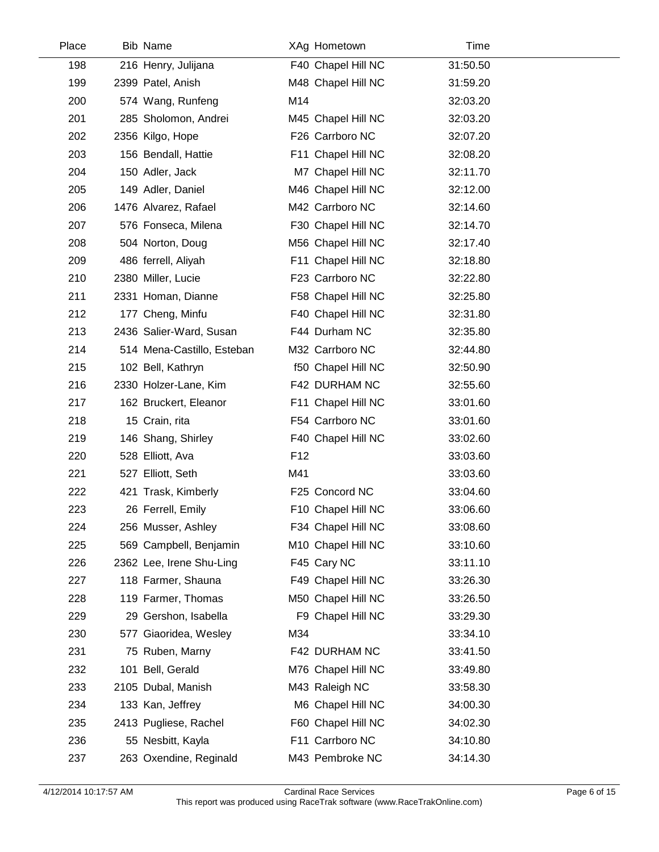| Place | <b>Bib Name</b>            |                 | XAg Hometown       | Time     |  |
|-------|----------------------------|-----------------|--------------------|----------|--|
| 198   | 216 Henry, Julijana        |                 | F40 Chapel Hill NC | 31:50.50 |  |
| 199   | 2399 Patel, Anish          |                 | M48 Chapel Hill NC | 31:59.20 |  |
| 200   | 574 Wang, Runfeng          | M14             |                    | 32:03.20 |  |
| 201   | 285 Sholomon, Andrei       |                 | M45 Chapel Hill NC | 32:03.20 |  |
| 202   | 2356 Kilgo, Hope           |                 | F26 Carrboro NC    | 32:07.20 |  |
| 203   | 156 Bendall, Hattie        |                 | F11 Chapel Hill NC | 32:08.20 |  |
| 204   | 150 Adler, Jack            |                 | M7 Chapel Hill NC  | 32:11.70 |  |
| 205   | 149 Adler, Daniel          |                 | M46 Chapel Hill NC | 32:12.00 |  |
| 206   | 1476 Alvarez, Rafael       |                 | M42 Carrboro NC    | 32:14.60 |  |
| 207   | 576 Fonseca, Milena        |                 | F30 Chapel Hill NC | 32:14.70 |  |
| 208   | 504 Norton, Doug           |                 | M56 Chapel Hill NC | 32:17.40 |  |
| 209   | 486 ferrell, Aliyah        |                 | F11 Chapel Hill NC | 32:18.80 |  |
| 210   | 2380 Miller, Lucie         |                 | F23 Carrboro NC    | 32:22.80 |  |
| 211   | 2331 Homan, Dianne         |                 | F58 Chapel Hill NC | 32:25.80 |  |
| 212   | 177 Cheng, Minfu           |                 | F40 Chapel Hill NC | 32:31.80 |  |
| 213   | 2436 Salier-Ward, Susan    |                 | F44 Durham NC      | 32:35.80 |  |
| 214   | 514 Mena-Castillo, Esteban |                 | M32 Carrboro NC    | 32:44.80 |  |
| 215   | 102 Bell, Kathryn          |                 | f50 Chapel Hill NC | 32:50.90 |  |
| 216   | 2330 Holzer-Lane, Kim      |                 | F42 DURHAM NC      | 32:55.60 |  |
| 217   | 162 Bruckert, Eleanor      |                 | F11 Chapel Hill NC | 33:01.60 |  |
| 218   | 15 Crain, rita             |                 | F54 Carrboro NC    | 33:01.60 |  |
| 219   | 146 Shang, Shirley         |                 | F40 Chapel Hill NC | 33:02.60 |  |
| 220   | 528 Elliott, Ava           | F <sub>12</sub> |                    | 33:03.60 |  |
| 221   | 527 Elliott, Seth          | M41             |                    | 33:03.60 |  |
| 222   | 421 Trask, Kimberly        |                 | F25 Concord NC     | 33:04.60 |  |
| 223   | 26 Ferrell, Emily          |                 | F10 Chapel Hill NC | 33:06.60 |  |
| 224   | 256 Musser, Ashley         |                 | F34 Chapel Hill NC | 33:08.60 |  |
| 225   | 569 Campbell, Benjamin     |                 | M10 Chapel Hill NC | 33:10.60 |  |
| 226   | 2362 Lee, Irene Shu-Ling   |                 | F45 Cary NC        | 33:11.10 |  |
| 227   | 118 Farmer, Shauna         |                 | F49 Chapel Hill NC | 33:26.30 |  |
| 228   | 119 Farmer, Thomas         |                 | M50 Chapel Hill NC | 33:26.50 |  |
| 229   | 29 Gershon, Isabella       |                 | F9 Chapel Hill NC  | 33:29.30 |  |
| 230   | 577 Giaoridea, Wesley      | M34             |                    | 33:34.10 |  |
| 231   | 75 Ruben, Marny            |                 | F42 DURHAM NC      | 33:41.50 |  |
| 232   | 101 Bell, Gerald           |                 | M76 Chapel Hill NC | 33:49.80 |  |
| 233   | 2105 Dubal, Manish         |                 | M43 Raleigh NC     | 33:58.30 |  |
| 234   | 133 Kan, Jeffrey           |                 | M6 Chapel Hill NC  | 34:00.30 |  |
| 235   | 2413 Pugliese, Rachel      |                 | F60 Chapel Hill NC | 34:02.30 |  |
| 236   | 55 Nesbitt, Kayla          |                 | F11 Carrboro NC    | 34:10.80 |  |
| 237   | 263 Oxendine, Reginald     |                 | M43 Pembroke NC    | 34:14.30 |  |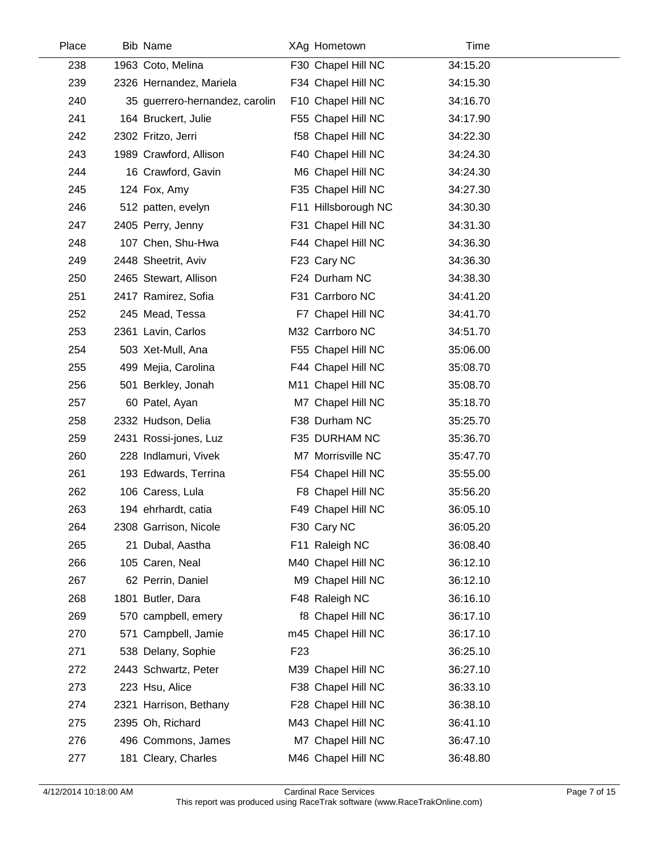| Place | <b>Bib Name</b>                |                 | XAg Hometown        | Time     |  |
|-------|--------------------------------|-----------------|---------------------|----------|--|
| 238   | 1963 Coto, Melina              |                 | F30 Chapel Hill NC  | 34:15.20 |  |
| 239   | 2326 Hernandez, Mariela        |                 | F34 Chapel Hill NC  | 34:15.30 |  |
| 240   | 35 guerrero-hernandez, carolin |                 | F10 Chapel Hill NC  | 34:16.70 |  |
| 241   | 164 Bruckert, Julie            |                 | F55 Chapel Hill NC  | 34:17.90 |  |
| 242   | 2302 Fritzo, Jerri             |                 | f58 Chapel Hill NC  | 34:22.30 |  |
| 243   | 1989 Crawford, Allison         |                 | F40 Chapel Hill NC  | 34:24.30 |  |
| 244   | 16 Crawford, Gavin             |                 | M6 Chapel Hill NC   | 34:24.30 |  |
| 245   | 124 Fox, Amy                   |                 | F35 Chapel Hill NC  | 34:27.30 |  |
| 246   | 512 patten, evelyn             |                 | F11 Hillsborough NC | 34:30.30 |  |
| 247   | 2405 Perry, Jenny              |                 | F31 Chapel Hill NC  | 34:31.30 |  |
| 248   | 107 Chen, Shu-Hwa              |                 | F44 Chapel Hill NC  | 34:36.30 |  |
| 249   | 2448 Sheetrit, Aviv            |                 | F23 Cary NC         | 34:36.30 |  |
| 250   | 2465 Stewart, Allison          |                 | F24 Durham NC       | 34:38.30 |  |
| 251   | 2417 Ramirez, Sofia            |                 | F31 Carrboro NC     | 34:41.20 |  |
| 252   | 245 Mead, Tessa                |                 | F7 Chapel Hill NC   | 34:41.70 |  |
| 253   | 2361 Lavin, Carlos             |                 | M32 Carrboro NC     | 34:51.70 |  |
| 254   | 503 Xet-Mull, Ana              |                 | F55 Chapel Hill NC  | 35:06.00 |  |
| 255   | 499 Mejia, Carolina            |                 | F44 Chapel Hill NC  | 35:08.70 |  |
| 256   | 501 Berkley, Jonah             |                 | M11 Chapel Hill NC  | 35:08.70 |  |
| 257   | 60 Patel, Ayan                 |                 | M7 Chapel Hill NC   | 35:18.70 |  |
| 258   | 2332 Hudson, Delia             |                 | F38 Durham NC       | 35:25.70 |  |
| 259   | 2431 Rossi-jones, Luz          |                 | F35 DURHAM NC       | 35:36.70 |  |
| 260   | 228 Indlamuri, Vivek           |                 | M7 Morrisville NC   | 35:47.70 |  |
| 261   | 193 Edwards, Terrina           |                 | F54 Chapel Hill NC  | 35:55.00 |  |
| 262   | 106 Caress, Lula               |                 | F8 Chapel Hill NC   | 35:56.20 |  |
| 263   | 194 ehrhardt, catia            |                 | F49 Chapel Hill NC  | 36:05.10 |  |
| 264   | 2308 Garrison, Nicole          |                 | F30 Cary NC         | 36:05.20 |  |
| 265   | 21 Dubal, Aastha               |                 | F11 Raleigh NC      | 36:08.40 |  |
| 266   | 105 Caren, Neal                |                 | M40 Chapel Hill NC  | 36:12.10 |  |
| 267   | 62 Perrin, Daniel              |                 | M9 Chapel Hill NC   | 36:12.10 |  |
| 268   | 1801 Butler, Dara              |                 | F48 Raleigh NC      | 36:16.10 |  |
| 269   | 570 campbell, emery            |                 | f8 Chapel Hill NC   | 36:17.10 |  |
| 270   | 571 Campbell, Jamie            |                 | m45 Chapel Hill NC  | 36:17.10 |  |
| 271   | 538 Delany, Sophie             | F <sub>23</sub> |                     | 36:25.10 |  |
| 272   | 2443 Schwartz, Peter           |                 | M39 Chapel Hill NC  | 36:27.10 |  |
| 273   | 223 Hsu, Alice                 |                 | F38 Chapel Hill NC  | 36:33.10 |  |
| 274   | 2321 Harrison, Bethany         |                 | F28 Chapel Hill NC  | 36:38.10 |  |
| 275   | 2395 Oh, Richard               |                 | M43 Chapel Hill NC  | 36:41.10 |  |
| 276   | 496 Commons, James             |                 | M7 Chapel Hill NC   | 36:47.10 |  |
| 277   | 181 Cleary, Charles            |                 | M46 Chapel Hill NC  | 36:48.80 |  |
|       |                                |                 |                     |          |  |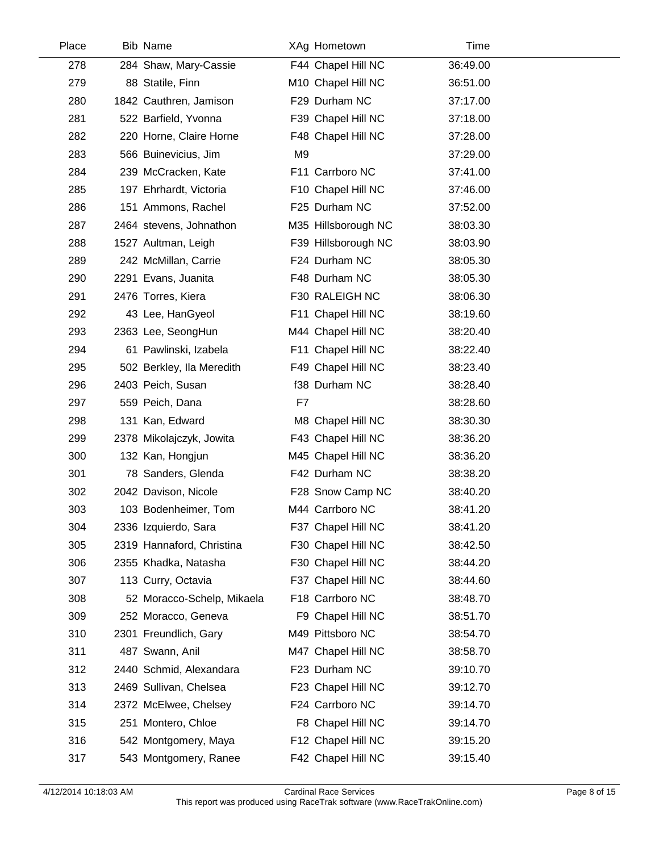| Place | <b>Bib Name</b>            |                | XAg Hometown        | Time     |  |
|-------|----------------------------|----------------|---------------------|----------|--|
| 278   | 284 Shaw, Mary-Cassie      |                | F44 Chapel Hill NC  | 36:49.00 |  |
| 279   | 88 Statile, Finn           |                | M10 Chapel Hill NC  | 36:51.00 |  |
| 280   | 1842 Cauthren, Jamison     |                | F29 Durham NC       | 37:17.00 |  |
| 281   | 522 Barfield, Yvonna       |                | F39 Chapel Hill NC  | 37:18.00 |  |
| 282   | 220 Horne, Claire Horne    |                | F48 Chapel Hill NC  | 37:28.00 |  |
| 283   | 566 Buinevicius, Jim       | M <sub>9</sub> |                     | 37:29.00 |  |
| 284   | 239 McCracken, Kate        |                | F11 Carrboro NC     | 37:41.00 |  |
| 285   | 197 Ehrhardt, Victoria     |                | F10 Chapel Hill NC  | 37:46.00 |  |
| 286   | 151 Ammons, Rachel         |                | F25 Durham NC       | 37:52.00 |  |
| 287   | 2464 stevens, Johnathon    |                | M35 Hillsborough NC | 38:03.30 |  |
| 288   | 1527 Aultman, Leigh        |                | F39 Hillsborough NC | 38:03.90 |  |
| 289   | 242 McMillan, Carrie       |                | F24 Durham NC       | 38:05.30 |  |
| 290   | 2291 Evans, Juanita        |                | F48 Durham NC       | 38:05.30 |  |
| 291   | 2476 Torres, Kiera         |                | F30 RALEIGH NC      | 38:06.30 |  |
| 292   | 43 Lee, HanGyeol           |                | F11 Chapel Hill NC  | 38:19.60 |  |
| 293   | 2363 Lee, SeongHun         |                | M44 Chapel Hill NC  | 38:20.40 |  |
| 294   | 61 Pawlinski, Izabela      |                | F11 Chapel Hill NC  | 38:22.40 |  |
| 295   | 502 Berkley, Ila Meredith  |                | F49 Chapel Hill NC  | 38:23.40 |  |
| 296   | 2403 Peich, Susan          |                | f38 Durham NC       | 38:28.40 |  |
| 297   | 559 Peich, Dana            | F7             |                     | 38:28.60 |  |
| 298   | 131 Kan, Edward            |                | M8 Chapel Hill NC   | 38:30.30 |  |
| 299   | 2378 Mikolajczyk, Jowita   |                | F43 Chapel Hill NC  | 38:36.20 |  |
| 300   | 132 Kan, Hongjun           |                | M45 Chapel Hill NC  | 38:36.20 |  |
| 301   | 78 Sanders, Glenda         |                | F42 Durham NC       | 38:38.20 |  |
| 302   | 2042 Davison, Nicole       |                | F28 Snow Camp NC    | 38:40.20 |  |
| 303   | 103 Bodenheimer, Tom       |                | M44 Carrboro NC     | 38:41.20 |  |
| 304   | 2336 Izquierdo, Sara       |                | F37 Chapel Hill NC  | 38:41.20 |  |
| 305   | 2319 Hannaford, Christina  |                | F30 Chapel Hill NC  | 38:42.50 |  |
| 306   | 2355 Khadka, Natasha       |                | F30 Chapel Hill NC  | 38:44.20 |  |
| 307   | 113 Curry, Octavia         |                | F37 Chapel Hill NC  | 38:44.60 |  |
| 308   | 52 Moracco-Schelp, Mikaela |                | F18 Carrboro NC     | 38:48.70 |  |
| 309   | 252 Moracco, Geneva        |                | F9 Chapel Hill NC   | 38:51.70 |  |
| 310   | 2301 Freundlich, Gary      |                | M49 Pittsboro NC    | 38:54.70 |  |
| 311   | 487 Swann, Anil            |                | M47 Chapel Hill NC  | 38:58.70 |  |
| 312   | 2440 Schmid, Alexandara    |                | F23 Durham NC       | 39:10.70 |  |
| 313   | 2469 Sullivan, Chelsea     |                | F23 Chapel Hill NC  | 39:12.70 |  |
| 314   | 2372 McElwee, Chelsey      |                | F24 Carrboro NC     | 39:14.70 |  |
| 315   | 251 Montero, Chloe         |                | F8 Chapel Hill NC   | 39:14.70 |  |
| 316   | 542 Montgomery, Maya       |                | F12 Chapel Hill NC  | 39:15.20 |  |
| 317   | 543 Montgomery, Ranee      |                | F42 Chapel Hill NC  | 39:15.40 |  |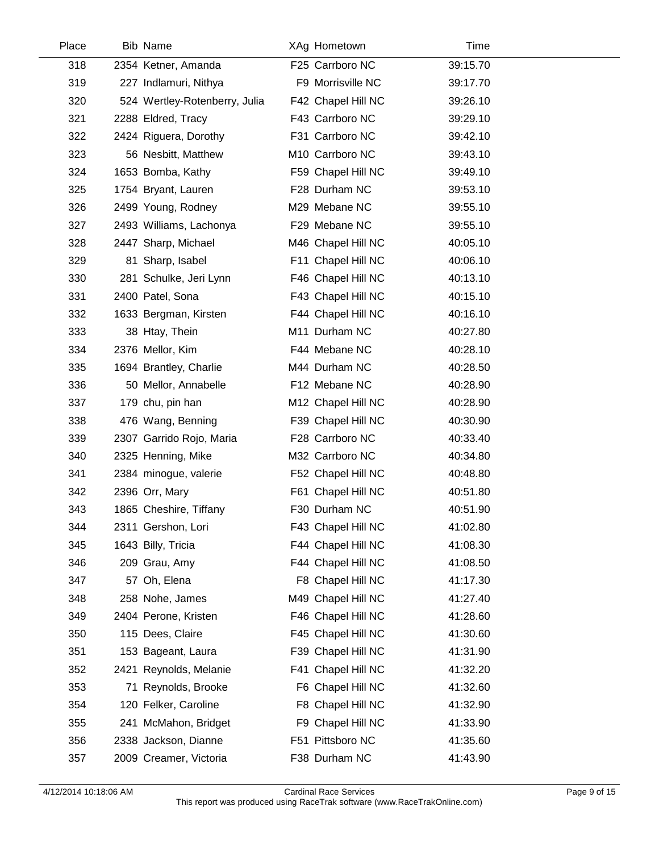| Place | <b>Bib Name</b>               |    | XAg Hometown       | Time     |  |
|-------|-------------------------------|----|--------------------|----------|--|
| 318   | 2354 Ketner, Amanda           |    | F25 Carrboro NC    | 39:15.70 |  |
| 319   | 227 Indlamuri, Nithya         |    | F9 Morrisville NC  | 39:17.70 |  |
| 320   | 524 Wertley-Rotenberry, Julia |    | F42 Chapel Hill NC | 39:26.10 |  |
| 321   | 2288 Eldred, Tracy            |    | F43 Carrboro NC    | 39:29.10 |  |
| 322   | 2424 Riguera, Dorothy         |    | F31 Carrboro NC    | 39:42.10 |  |
| 323   | 56 Nesbitt, Matthew           |    | M10 Carrboro NC    | 39:43.10 |  |
| 324   | 1653 Bomba, Kathy             |    | F59 Chapel Hill NC | 39:49.10 |  |
| 325   | 1754 Bryant, Lauren           |    | F28 Durham NC      | 39:53.10 |  |
| 326   | 2499 Young, Rodney            |    | M29 Mebane NC      | 39:55.10 |  |
| 327   | 2493 Williams, Lachonya       |    | F29 Mebane NC      | 39:55.10 |  |
| 328   | 2447 Sharp, Michael           |    | M46 Chapel Hill NC | 40:05.10 |  |
| 329   | 81 Sharp, Isabel              |    | F11 Chapel Hill NC | 40:06.10 |  |
| 330   | 281 Schulke, Jeri Lynn        |    | F46 Chapel Hill NC | 40:13.10 |  |
| 331   | 2400 Patel, Sona              |    | F43 Chapel Hill NC | 40:15.10 |  |
| 332   | 1633 Bergman, Kirsten         |    | F44 Chapel Hill NC | 40:16.10 |  |
| 333   | 38 Htay, Thein                |    | M11 Durham NC      | 40:27.80 |  |
| 334   | 2376 Mellor, Kim              |    | F44 Mebane NC      | 40:28.10 |  |
| 335   | 1694 Brantley, Charlie        |    | M44 Durham NC      | 40:28.50 |  |
| 336   | 50 Mellor, Annabelle          |    | F12 Mebane NC      | 40:28.90 |  |
| 337   | 179 chu, pin han              |    | M12 Chapel Hill NC | 40:28.90 |  |
| 338   | 476 Wang, Benning             |    | F39 Chapel Hill NC | 40:30.90 |  |
| 339   | 2307 Garrido Rojo, Maria      |    | F28 Carrboro NC    | 40:33.40 |  |
| 340   | 2325 Henning, Mike            |    | M32 Carrboro NC    | 40:34.80 |  |
| 341   | 2384 minogue, valerie         |    | F52 Chapel Hill NC | 40:48.80 |  |
| 342   | 2396 Orr, Mary                |    | F61 Chapel Hill NC | 40:51.80 |  |
| 343   | 1865 Cheshire, Tiffany        |    | F30 Durham NC      | 40:51.90 |  |
| 344   | 2311 Gershon, Lori            |    | F43 Chapel Hill NC | 41:02.80 |  |
| 345   | 1643 Billy, Tricia            |    | F44 Chapel Hill NC | 41:08.30 |  |
| 346   | 209 Grau, Amy                 |    | F44 Chapel Hill NC | 41:08.50 |  |
| 347   | 57 Oh, Elena                  |    | F8 Chapel Hill NC  | 41:17.30 |  |
| 348   | 258 Nohe, James               |    | M49 Chapel Hill NC | 41:27.40 |  |
| 349   | 2404 Perone, Kristen          |    | F46 Chapel Hill NC | 41:28.60 |  |
| 350   | 115 Dees, Claire              |    | F45 Chapel Hill NC | 41:30.60 |  |
| 351   | 153 Bageant, Laura            |    | F39 Chapel Hill NC | 41:31.90 |  |
| 352   | 2421 Reynolds, Melanie        |    | F41 Chapel Hill NC | 41:32.20 |  |
| 353   | 71 Reynolds, Brooke           |    | F6 Chapel Hill NC  | 41:32.60 |  |
| 354   | 120 Felker, Caroline          |    | F8 Chapel Hill NC  | 41:32.90 |  |
| 355   | 241 McMahon, Bridget          | F9 | Chapel Hill NC     | 41:33.90 |  |
| 356   | 2338 Jackson, Dianne          |    | F51 Pittsboro NC   | 41:35.60 |  |
| 357   | 2009 Creamer, Victoria        |    | F38 Durham NC      | 41:43.90 |  |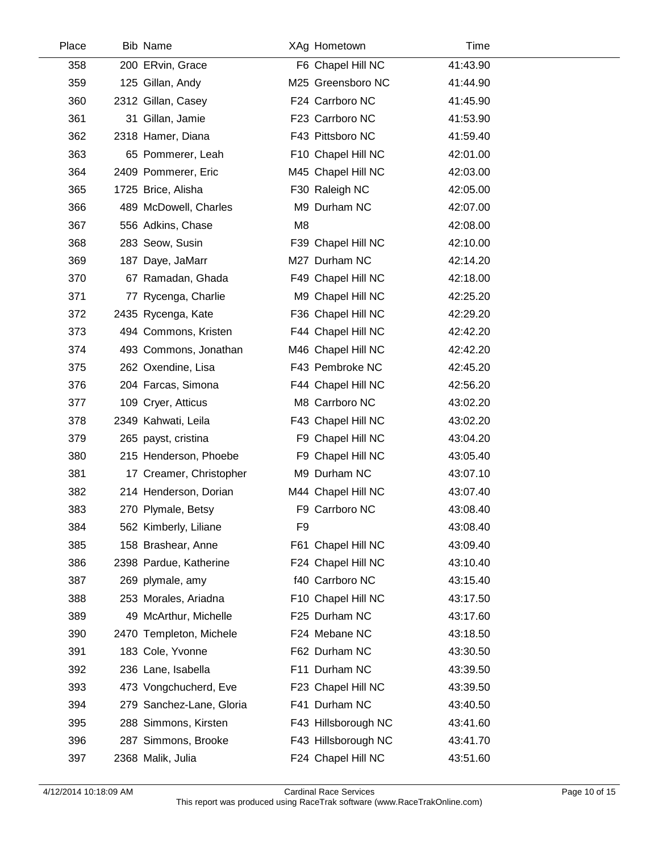| Place | <b>Bib Name</b>          |                | XAg Hometown        | Time     |  |
|-------|--------------------------|----------------|---------------------|----------|--|
| 358   | 200 ERvin, Grace         |                | F6 Chapel Hill NC   | 41:43.90 |  |
| 359   | 125 Gillan, Andy         |                | M25 Greensboro NC   | 41:44.90 |  |
| 360   | 2312 Gillan, Casey       |                | F24 Carrboro NC     | 41:45.90 |  |
| 361   | 31 Gillan, Jamie         |                | F23 Carrboro NC     | 41:53.90 |  |
| 362   | 2318 Hamer, Diana        |                | F43 Pittsboro NC    | 41:59.40 |  |
| 363   | 65 Pommerer, Leah        |                | F10 Chapel Hill NC  | 42:01.00 |  |
| 364   | 2409 Pommerer, Eric      |                | M45 Chapel Hill NC  | 42:03.00 |  |
| 365   | 1725 Brice, Alisha       |                | F30 Raleigh NC      | 42:05.00 |  |
| 366   | 489 McDowell, Charles    |                | M9 Durham NC        | 42:07.00 |  |
| 367   | 556 Adkins, Chase        | M <sub>8</sub> |                     | 42:08.00 |  |
| 368   | 283 Seow, Susin          |                | F39 Chapel Hill NC  | 42:10.00 |  |
| 369   | 187 Daye, JaMarr         |                | M27 Durham NC       | 42:14.20 |  |
| 370   | 67 Ramadan, Ghada        |                | F49 Chapel Hill NC  | 42:18.00 |  |
| 371   | 77 Rycenga, Charlie      |                | M9 Chapel Hill NC   | 42:25.20 |  |
| 372   | 2435 Rycenga, Kate       |                | F36 Chapel Hill NC  | 42:29.20 |  |
| 373   | 494 Commons, Kristen     |                | F44 Chapel Hill NC  | 42:42.20 |  |
| 374   | 493 Commons, Jonathan    |                | M46 Chapel Hill NC  | 42:42.20 |  |
| 375   | 262 Oxendine, Lisa       |                | F43 Pembroke NC     | 42:45.20 |  |
| 376   | 204 Farcas, Simona       |                | F44 Chapel Hill NC  | 42:56.20 |  |
| 377   | 109 Cryer, Atticus       |                | M8 Carrboro NC      | 43:02.20 |  |
| 378   | 2349 Kahwati, Leila      |                | F43 Chapel Hill NC  | 43:02.20 |  |
| 379   | 265 payst, cristina      |                | F9 Chapel Hill NC   | 43:04.20 |  |
| 380   | 215 Henderson, Phoebe    |                | F9 Chapel Hill NC   | 43:05.40 |  |
| 381   | 17 Creamer, Christopher  |                | M9 Durham NC        | 43:07.10 |  |
| 382   | 214 Henderson, Dorian    |                | M44 Chapel Hill NC  | 43:07.40 |  |
| 383   | 270 Plymale, Betsy       |                | F9 Carrboro NC      | 43:08.40 |  |
| 384   | 562 Kimberly, Liliane    | F9             |                     | 43:08.40 |  |
| 385   | 158 Brashear, Anne       |                | F61 Chapel Hill NC  | 43:09.40 |  |
| 386   | 2398 Pardue, Katherine   |                | F24 Chapel Hill NC  | 43:10.40 |  |
| 387   | 269 plymale, amy         |                | f40 Carrboro NC     | 43:15.40 |  |
| 388   | 253 Morales, Ariadna     |                | F10 Chapel Hill NC  | 43:17.50 |  |
| 389   | 49 McArthur, Michelle    |                | F25 Durham NC       | 43:17.60 |  |
| 390   | 2470 Templeton, Michele  |                | F24 Mebane NC       | 43:18.50 |  |
| 391   | 183 Cole, Yvonne         |                | F62 Durham NC       | 43:30.50 |  |
| 392   | 236 Lane, Isabella       |                | F11 Durham NC       | 43:39.50 |  |
| 393   | 473 Vongchucherd, Eve    |                | F23 Chapel Hill NC  | 43:39.50 |  |
| 394   | 279 Sanchez-Lane, Gloria |                | F41 Durham NC       | 43:40.50 |  |
| 395   | 288 Simmons, Kirsten     |                | F43 Hillsborough NC | 43:41.60 |  |
| 396   | 287 Simmons, Brooke      |                | F43 Hillsborough NC | 43:41.70 |  |
| 397   | 2368 Malik, Julia        |                | F24 Chapel Hill NC  | 43:51.60 |  |

 $\overline{\phantom{a}}$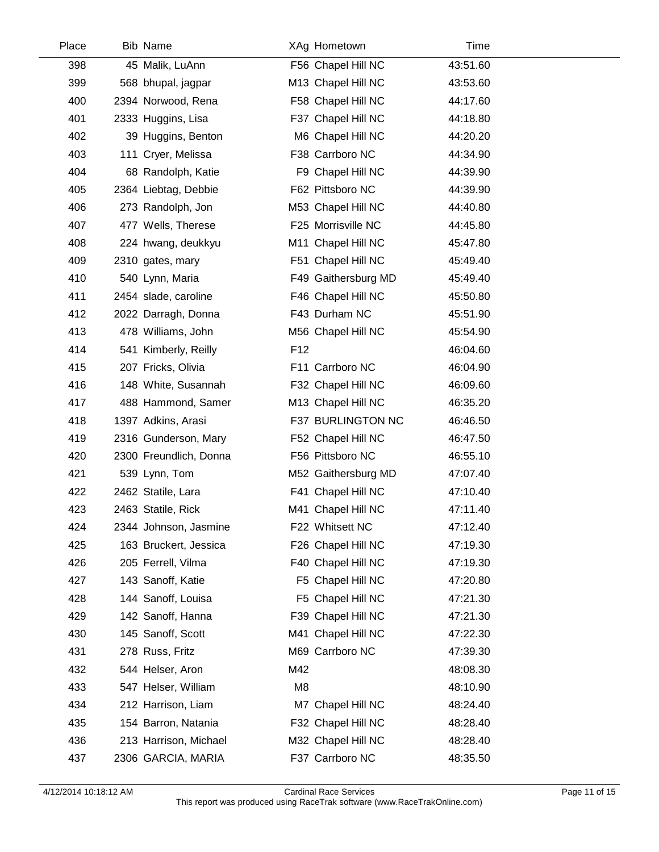| Place | Bib Name               |                 | XAg Hometown        | Time     |  |
|-------|------------------------|-----------------|---------------------|----------|--|
| 398   | 45 Malik, LuAnn        |                 | F56 Chapel Hill NC  | 43:51.60 |  |
| 399   | 568 bhupal, jagpar     |                 | M13 Chapel Hill NC  | 43:53.60 |  |
| 400   | 2394 Norwood, Rena     |                 | F58 Chapel Hill NC  | 44:17.60 |  |
| 401   | 2333 Huggins, Lisa     |                 | F37 Chapel Hill NC  | 44:18.80 |  |
| 402   | 39 Huggins, Benton     |                 | M6 Chapel Hill NC   | 44:20.20 |  |
| 403   | 111 Cryer, Melissa     |                 | F38 Carrboro NC     | 44:34.90 |  |
| 404   | 68 Randolph, Katie     |                 | F9 Chapel Hill NC   | 44:39.90 |  |
| 405   | 2364 Liebtag, Debbie   |                 | F62 Pittsboro NC    | 44:39.90 |  |
| 406   | 273 Randolph, Jon      |                 | M53 Chapel Hill NC  | 44:40.80 |  |
| 407   | 477 Wells, Therese     |                 | F25 Morrisville NC  | 44:45.80 |  |
| 408   | 224 hwang, deukkyu     |                 | M11 Chapel Hill NC  | 45:47.80 |  |
| 409   | 2310 gates, mary       |                 | F51 Chapel Hill NC  | 45:49.40 |  |
| 410   | 540 Lynn, Maria        |                 | F49 Gaithersburg MD | 45:49.40 |  |
| 411   | 2454 slade, caroline   |                 | F46 Chapel Hill NC  | 45:50.80 |  |
| 412   | 2022 Darragh, Donna    |                 | F43 Durham NC       | 45:51.90 |  |
| 413   | 478 Williams, John     |                 | M56 Chapel Hill NC  | 45:54.90 |  |
| 414   | 541 Kimberly, Reilly   | F <sub>12</sub> |                     | 46:04.60 |  |
| 415   | 207 Fricks, Olivia     |                 | F11 Carrboro NC     | 46:04.90 |  |
| 416   | 148 White, Susannah    |                 | F32 Chapel Hill NC  | 46:09.60 |  |
| 417   | 488 Hammond, Samer     |                 | M13 Chapel Hill NC  | 46:35.20 |  |
| 418   | 1397 Adkins, Arasi     |                 | F37 BURLINGTON NC   | 46:46.50 |  |
| 419   | 2316 Gunderson, Mary   |                 | F52 Chapel Hill NC  | 46:47.50 |  |
| 420   | 2300 Freundlich, Donna |                 | F56 Pittsboro NC    | 46:55.10 |  |
| 421   | 539 Lynn, Tom          |                 | M52 Gaithersburg MD | 47:07.40 |  |
| 422   | 2462 Statile, Lara     |                 | F41 Chapel Hill NC  | 47:10.40 |  |
| 423   | 2463 Statile, Rick     |                 | M41 Chapel Hill NC  | 47:11.40 |  |
| 424   | 2344 Johnson, Jasmine  |                 | F22 Whitsett NC     | 47:12.40 |  |
| 425   | 163 Bruckert, Jessica  |                 | F26 Chapel Hill NC  | 47:19.30 |  |
| 426   | 205 Ferrell, Vilma     |                 | F40 Chapel Hill NC  | 47:19.30 |  |
| 427   | 143 Sanoff, Katie      |                 | F5 Chapel Hill NC   | 47:20.80 |  |
| 428   | 144 Sanoff, Louisa     |                 | F5 Chapel Hill NC   | 47:21.30 |  |
| 429   | 142 Sanoff, Hanna      |                 | F39 Chapel Hill NC  | 47:21.30 |  |
| 430   | 145 Sanoff, Scott      |                 | M41 Chapel Hill NC  | 47:22.30 |  |
| 431   | 278 Russ, Fritz        |                 | M69 Carrboro NC     | 47:39.30 |  |
| 432   | 544 Helser, Aron       | M42             |                     | 48:08.30 |  |
| 433   | 547 Helser, William    | M8              |                     | 48:10.90 |  |
| 434   | 212 Harrison, Liam     |                 | M7 Chapel Hill NC   | 48:24.40 |  |
| 435   | 154 Barron, Natania    |                 | F32 Chapel Hill NC  | 48:28.40 |  |
| 436   | 213 Harrison, Michael  |                 | M32 Chapel Hill NC  | 48:28.40 |  |
| 437   | 2306 GARCIA, MARIA     |                 | F37 Carrboro NC     | 48:35.50 |  |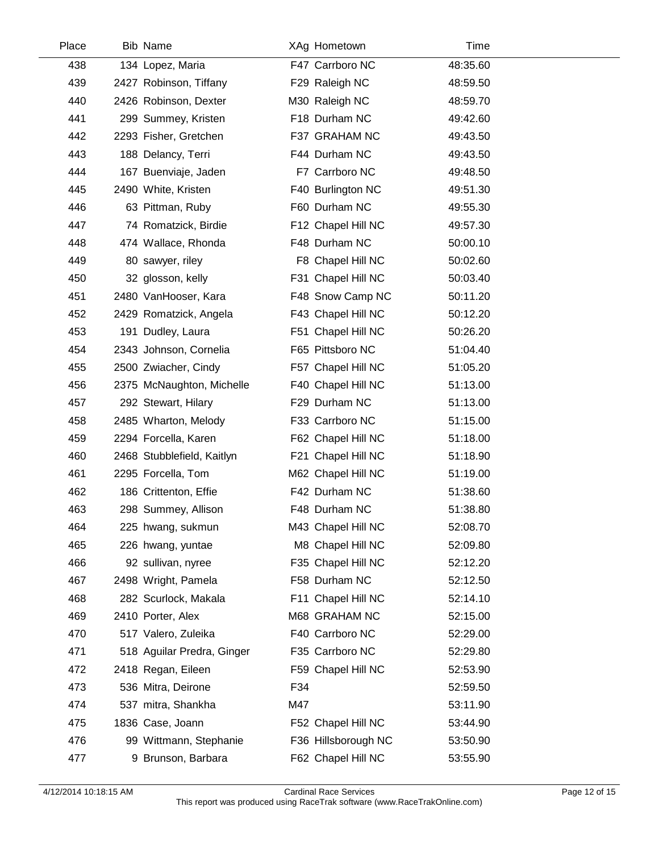| Place | <b>Bib Name</b>            |     | XAg Hometown        | Time     |  |
|-------|----------------------------|-----|---------------------|----------|--|
| 438   | 134 Lopez, Maria           |     | F47 Carrboro NC     | 48:35.60 |  |
| 439   | 2427 Robinson, Tiffany     |     | F29 Raleigh NC      | 48:59.50 |  |
| 440   | 2426 Robinson, Dexter      |     | M30 Raleigh NC      | 48:59.70 |  |
| 441   | 299 Summey, Kristen        |     | F18 Durham NC       | 49:42.60 |  |
| 442   | 2293 Fisher, Gretchen      |     | F37 GRAHAM NC       | 49:43.50 |  |
| 443   | 188 Delancy, Terri         |     | F44 Durham NC       | 49:43.50 |  |
| 444   | 167 Buenviaje, Jaden       |     | F7 Carrboro NC      | 49:48.50 |  |
| 445   | 2490 White, Kristen        |     | F40 Burlington NC   | 49:51.30 |  |
| 446   | 63 Pittman, Ruby           |     | F60 Durham NC       | 49:55.30 |  |
| 447   | 74 Romatzick, Birdie       |     | F12 Chapel Hill NC  | 49:57.30 |  |
| 448   | 474 Wallace, Rhonda        |     | F48 Durham NC       | 50:00.10 |  |
| 449   | 80 sawyer, riley           |     | F8 Chapel Hill NC   | 50:02.60 |  |
| 450   | 32 glosson, kelly          |     | F31 Chapel Hill NC  | 50:03.40 |  |
| 451   | 2480 VanHooser, Kara       |     | F48 Snow Camp NC    | 50:11.20 |  |
| 452   | 2429 Romatzick, Angela     |     | F43 Chapel Hill NC  | 50:12.20 |  |
| 453   | 191 Dudley, Laura          |     | F51 Chapel Hill NC  | 50:26.20 |  |
| 454   | 2343 Johnson, Cornelia     |     | F65 Pittsboro NC    | 51:04.40 |  |
| 455   | 2500 Zwiacher, Cindy       |     | F57 Chapel Hill NC  | 51:05.20 |  |
| 456   | 2375 McNaughton, Michelle  |     | F40 Chapel Hill NC  | 51:13.00 |  |
| 457   | 292 Stewart, Hilary        |     | F29 Durham NC       | 51:13.00 |  |
| 458   | 2485 Wharton, Melody       |     | F33 Carrboro NC     | 51:15.00 |  |
| 459   | 2294 Forcella, Karen       |     | F62 Chapel Hill NC  | 51:18.00 |  |
| 460   | 2468 Stubblefield, Kaitlyn |     | F21 Chapel Hill NC  | 51:18.90 |  |
| 461   | 2295 Forcella, Tom         |     | M62 Chapel Hill NC  | 51:19.00 |  |
| 462   | 186 Crittenton, Effie      |     | F42 Durham NC       | 51:38.60 |  |
| 463   | 298 Summey, Allison        |     | F48 Durham NC       | 51:38.80 |  |
| 464   | 225 hwang, sukmun          |     | M43 Chapel Hill NC  | 52:08.70 |  |
| 465   | 226 hwang, yuntae          |     | M8 Chapel Hill NC   | 52:09.80 |  |
| 466   | 92 sullivan, nyree         |     | F35 Chapel Hill NC  | 52:12.20 |  |
| 467   | 2498 Wright, Pamela        |     | F58 Durham NC       | 52:12.50 |  |
| 468   | 282 Scurlock, Makala       |     | F11 Chapel Hill NC  | 52:14.10 |  |
| 469   | 2410 Porter, Alex          |     | M68 GRAHAM NC       | 52:15.00 |  |
| 470   | 517 Valero, Zuleika        |     | F40 Carrboro NC     | 52:29.00 |  |
| 471   | 518 Aguilar Predra, Ginger |     | F35 Carrboro NC     | 52:29.80 |  |
| 472   | 2418 Regan, Eileen         |     | F59 Chapel Hill NC  | 52:53.90 |  |
| 473   | 536 Mitra, Deirone         | F34 |                     | 52:59.50 |  |
| 474   | 537 mitra, Shankha         | M47 |                     | 53:11.90 |  |
| 475   | 1836 Case, Joann           |     | F52 Chapel Hill NC  | 53:44.90 |  |
| 476   | 99 Wittmann, Stephanie     |     | F36 Hillsborough NC | 53:50.90 |  |
| 477   | 9 Brunson, Barbara         |     | F62 Chapel Hill NC  | 53:55.90 |  |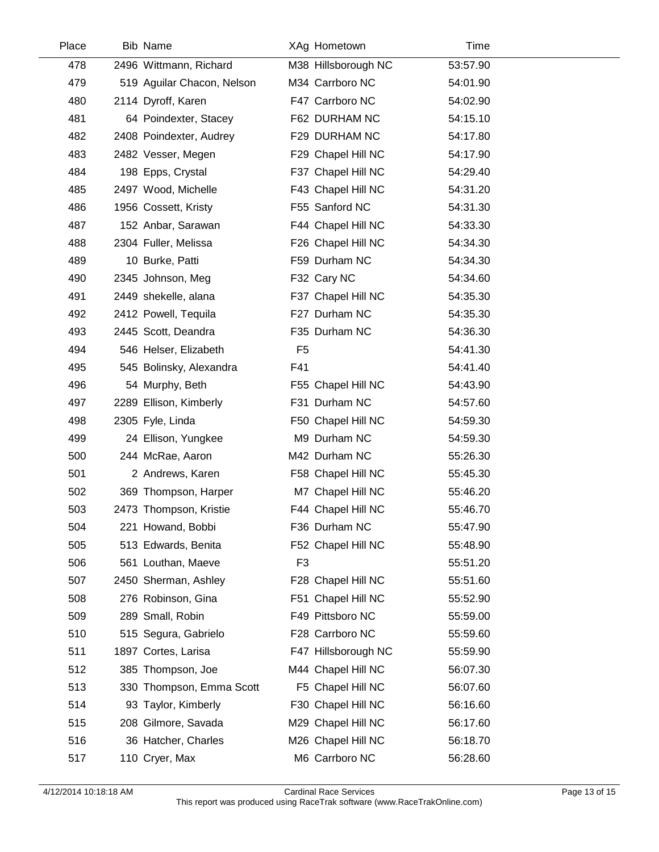| Place | <b>Bib Name</b>            |                | XAg Hometown        | Time     |  |
|-------|----------------------------|----------------|---------------------|----------|--|
| 478   | 2496 Wittmann, Richard     |                | M38 Hillsborough NC | 53:57.90 |  |
| 479   | 519 Aguilar Chacon, Nelson |                | M34 Carrboro NC     | 54:01.90 |  |
| 480   | 2114 Dyroff, Karen         |                | F47 Carrboro NC     | 54:02.90 |  |
| 481   | 64 Poindexter, Stacey      |                | F62 DURHAM NC       | 54:15.10 |  |
| 482   | 2408 Poindexter, Audrey    |                | F29 DURHAM NC       | 54:17.80 |  |
| 483   | 2482 Vesser, Megen         |                | F29 Chapel Hill NC  | 54:17.90 |  |
| 484   | 198 Epps, Crystal          |                | F37 Chapel Hill NC  | 54:29.40 |  |
| 485   | 2497 Wood, Michelle        |                | F43 Chapel Hill NC  | 54:31.20 |  |
| 486   | 1956 Cossett, Kristy       |                | F55 Sanford NC      | 54:31.30 |  |
| 487   | 152 Anbar, Sarawan         |                | F44 Chapel Hill NC  | 54:33.30 |  |
| 488   | 2304 Fuller, Melissa       |                | F26 Chapel Hill NC  | 54:34.30 |  |
| 489   | 10 Burke, Patti            |                | F59 Durham NC       | 54:34.30 |  |
| 490   | 2345 Johnson, Meg          |                | F32 Cary NC         | 54:34.60 |  |
| 491   | 2449 shekelle, alana       |                | F37 Chapel Hill NC  | 54:35.30 |  |
| 492   | 2412 Powell, Tequila       |                | F27 Durham NC       | 54:35.30 |  |
| 493   | 2445 Scott, Deandra        |                | F35 Durham NC       | 54:36.30 |  |
| 494   | 546 Helser, Elizabeth      | F <sub>5</sub> |                     | 54:41.30 |  |
| 495   | 545 Bolinsky, Alexandra    | F41            |                     | 54:41.40 |  |
| 496   | 54 Murphy, Beth            |                | F55 Chapel Hill NC  | 54:43.90 |  |
| 497   | 2289 Ellison, Kimberly     |                | F31 Durham NC       | 54:57.60 |  |
| 498   | 2305 Fyle, Linda           |                | F50 Chapel Hill NC  | 54:59.30 |  |
| 499   | 24 Ellison, Yungkee        |                | M9 Durham NC        | 54:59.30 |  |
| 500   | 244 McRae, Aaron           |                | M42 Durham NC       | 55:26.30 |  |
| 501   | 2 Andrews, Karen           |                | F58 Chapel Hill NC  | 55:45.30 |  |
| 502   | 369 Thompson, Harper       |                | M7 Chapel Hill NC   | 55:46.20 |  |
| 503   | 2473 Thompson, Kristie     |                | F44 Chapel Hill NC  | 55:46.70 |  |
| 504   | 221 Howand, Bobbi          |                | F36 Durham NC       | 55:47.90 |  |
| 505   | 513 Edwards, Benita        |                | F52 Chapel Hill NC  | 55:48.90 |  |
| 506   | 561 Louthan, Maeve         | F <sub>3</sub> |                     | 55:51.20 |  |
| 507   | 2450 Sherman, Ashley       |                | F28 Chapel Hill NC  | 55:51.60 |  |
| 508   | 276 Robinson, Gina         |                | F51 Chapel Hill NC  | 55:52.90 |  |
| 509   | 289 Small, Robin           |                | F49 Pittsboro NC    | 55:59.00 |  |
| 510   | 515 Segura, Gabrielo       |                | F28 Carrboro NC     | 55:59.60 |  |
| 511   | 1897 Cortes, Larisa        |                | F47 Hillsborough NC | 55:59.90 |  |
| 512   | 385 Thompson, Joe          |                | M44 Chapel Hill NC  | 56:07.30 |  |
| 513   | 330 Thompson, Emma Scott   |                | F5 Chapel Hill NC   | 56:07.60 |  |
| 514   | 93 Taylor, Kimberly        |                | F30 Chapel Hill NC  | 56:16.60 |  |
| 515   | 208 Gilmore, Savada        |                | M29 Chapel Hill NC  | 56:17.60 |  |
| 516   | 36 Hatcher, Charles        |                | M26 Chapel Hill NC  | 56:18.70 |  |
| 517   | 110 Cryer, Max             |                | M6 Carrboro NC      | 56:28.60 |  |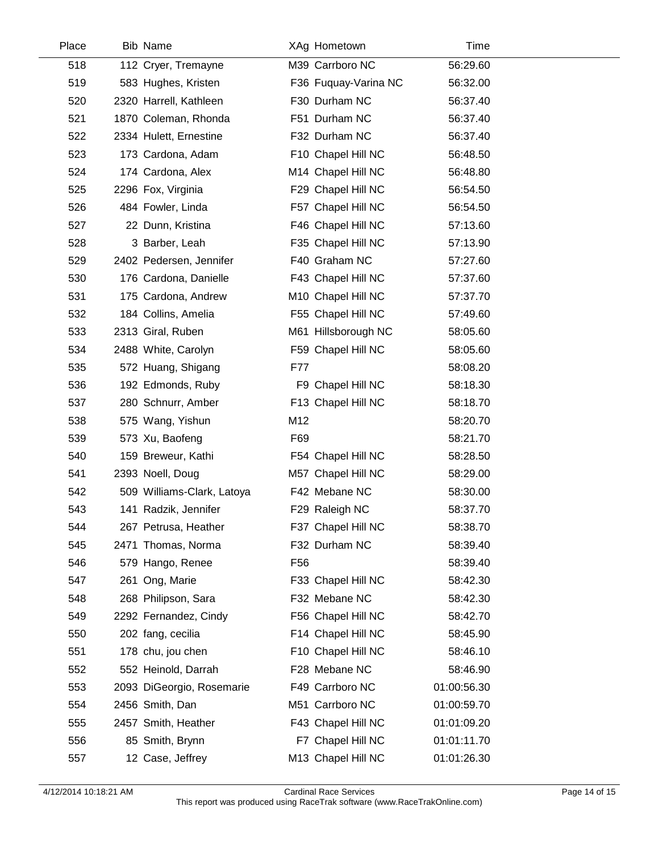| Place | <b>Bib Name</b>            |                 | XAg Hometown         | Time        |  |
|-------|----------------------------|-----------------|----------------------|-------------|--|
| 518   | 112 Cryer, Tremayne        |                 | M39 Carrboro NC      | 56:29.60    |  |
| 519   | 583 Hughes, Kristen        |                 | F36 Fuquay-Varina NC | 56:32.00    |  |
| 520   | 2320 Harrell, Kathleen     |                 | F30 Durham NC        | 56:37.40    |  |
| 521   | 1870 Coleman, Rhonda       |                 | F51 Durham NC        | 56:37.40    |  |
| 522   | 2334 Hulett, Ernestine     |                 | F32 Durham NC        | 56:37.40    |  |
| 523   | 173 Cardona, Adam          |                 | F10 Chapel Hill NC   | 56:48.50    |  |
| 524   | 174 Cardona, Alex          |                 | M14 Chapel Hill NC   | 56:48.80    |  |
| 525   | 2296 Fox, Virginia         |                 | F29 Chapel Hill NC   | 56:54.50    |  |
| 526   | 484 Fowler, Linda          |                 | F57 Chapel Hill NC   | 56:54.50    |  |
| 527   | 22 Dunn, Kristina          |                 | F46 Chapel Hill NC   | 57:13.60    |  |
| 528   | 3 Barber, Leah             |                 | F35 Chapel Hill NC   | 57:13.90    |  |
| 529   | 2402 Pedersen, Jennifer    |                 | F40 Graham NC        | 57:27.60    |  |
| 530   | 176 Cardona, Danielle      |                 | F43 Chapel Hill NC   | 57:37.60    |  |
| 531   | 175 Cardona, Andrew        |                 | M10 Chapel Hill NC   | 57:37.70    |  |
| 532   | 184 Collins, Amelia        |                 | F55 Chapel Hill NC   | 57:49.60    |  |
| 533   | 2313 Giral, Ruben          |                 | M61 Hillsborough NC  | 58:05.60    |  |
| 534   | 2488 White, Carolyn        |                 | F59 Chapel Hill NC   | 58:05.60    |  |
| 535   | 572 Huang, Shigang         | F77             |                      | 58:08.20    |  |
| 536   | 192 Edmonds, Ruby          |                 | F9 Chapel Hill NC    | 58:18.30    |  |
| 537   | 280 Schnurr, Amber         |                 | F13 Chapel Hill NC   | 58:18.70    |  |
| 538   | 575 Wang, Yishun           | M12             |                      | 58:20.70    |  |
| 539   | 573 Xu, Baofeng            | F69             |                      | 58:21.70    |  |
| 540   | 159 Breweur, Kathi         |                 | F54 Chapel Hill NC   | 58:28.50    |  |
| 541   | 2393 Noell, Doug           |                 | M57 Chapel Hill NC   | 58:29.00    |  |
| 542   | 509 Williams-Clark, Latoya |                 | F42 Mebane NC        | 58:30.00    |  |
| 543   | 141 Radzik, Jennifer       |                 | F29 Raleigh NC       | 58:37.70    |  |
| 544   | 267 Petrusa, Heather       |                 | F37 Chapel Hill NC   | 58:38.70    |  |
| 545   | 2471 Thomas, Norma         |                 | F32 Durham NC        | 58:39.40    |  |
| 546   | 579 Hango, Renee           | F <sub>56</sub> |                      | 58:39.40    |  |
| 547   | 261 Ong, Marie             |                 | F33 Chapel Hill NC   | 58:42.30    |  |
| 548   | 268 Philipson, Sara        |                 | F32 Mebane NC        | 58:42.30    |  |
| 549   | 2292 Fernandez, Cindy      |                 | F56 Chapel Hill NC   | 58:42.70    |  |
| 550   | 202 fang, cecilia          |                 | F14 Chapel Hill NC   | 58:45.90    |  |
| 551   | 178 chu, jou chen          |                 | F10 Chapel Hill NC   | 58:46.10    |  |
| 552   | 552 Heinold, Darrah        |                 | F28 Mebane NC        | 58:46.90    |  |
| 553   | 2093 DiGeorgio, Rosemarie  |                 | F49 Carrboro NC      | 01:00:56.30 |  |
| 554   | 2456 Smith, Dan            |                 | M51 Carrboro NC      | 01:00:59.70 |  |
| 555   | 2457 Smith, Heather        |                 | F43 Chapel Hill NC   | 01:01:09.20 |  |
| 556   | 85 Smith, Brynn            |                 | F7 Chapel Hill NC    | 01:01:11.70 |  |
| 557   | 12 Case, Jeffrey           |                 | M13 Chapel Hill NC   | 01:01:26.30 |  |